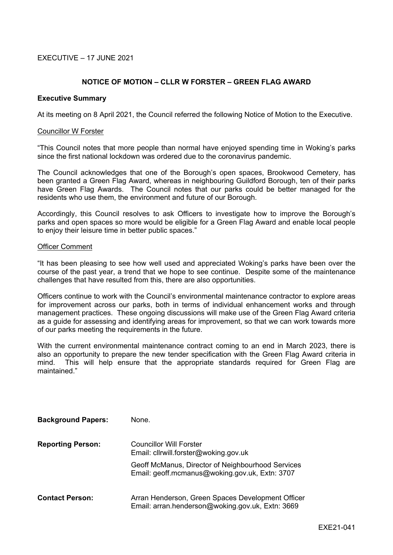# EXECUTIVE – 17 JUNE 2021

# **NOTICE OF MOTION – CLLR W FORSTER – GREEN FLAG AWARD**

### **Executive Summary**

At its meeting on 8 April 2021, the Council referred the following Notice of Motion to the Executive.

### Councillor W Forster

"This Council notes that more people than normal have enjoyed spending time in Woking's parks since the first national lockdown was ordered due to the coronavirus pandemic.

The Council acknowledges that one of the Borough's open spaces, Brookwood Cemetery, has been granted a Green Flag Award, whereas in neighbouring Guildford Borough, ten of their parks have Green Flag Awards. The Council notes that our parks could be better managed for the residents who use them, the environment and future of our Borough.

Accordingly, this Council resolves to ask Officers to investigate how to improve the Borough's parks and open spaces so more would be eligible for a Green Flag Award and enable local people to enjoy their leisure time in better public spaces."

#### Officer Comment

"It has been pleasing to see how well used and appreciated Woking's parks have been over the course of the past year, a trend that we hope to see continue. Despite some of the maintenance challenges that have resulted from this, there are also opportunities.

Officers continue to work with the Council's environmental maintenance contractor to explore areas for improvement across our parks, both in terms of individual enhancement works and through management practices. These ongoing discussions will make use of the Green Flag Award criteria as a guide for assessing and identifying areas for improvement, so that we can work towards more of our parks meeting the requirements in the future.

With the current environmental maintenance contract coming to an end in March 2023, there is also an opportunity to prepare the new tender specification with the Green Flag Award criteria in mind. This will help ensure that the appropriate standards required for Green Flag are maintained."

| <b>Background Papers:</b> | None.                                                                                                 |
|---------------------------|-------------------------------------------------------------------------------------------------------|
| <b>Reporting Person:</b>  | <b>Councillor Will Forster</b><br>Email: cllrwill.forster@woking.gov.uk                               |
|                           | Geoff McManus, Director of Neighbourhood Services<br>Email: geoff.mcmanus@woking.gov.uk, Extn: 3707   |
| <b>Contact Person:</b>    | Arran Henderson, Green Spaces Development Officer<br>Email: arran.henderson@woking.gov.uk, Extn: 3669 |